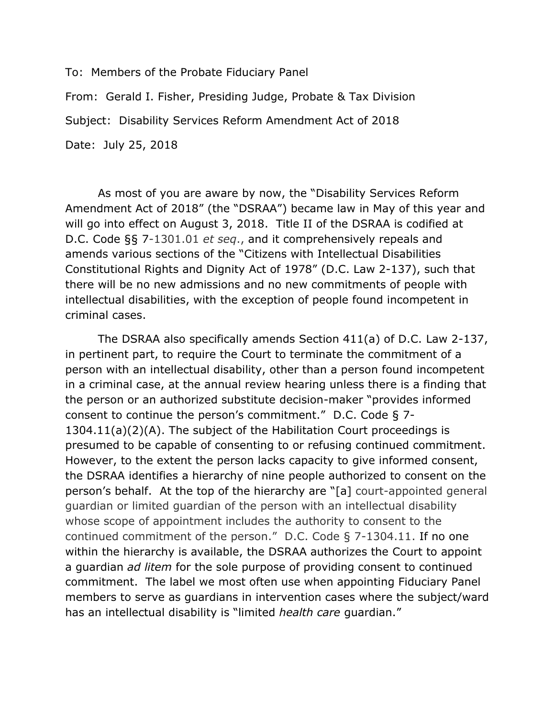To: Members of the Probate Fiduciary Panel From: Gerald I. Fisher, Presiding Judge, Probate & Tax Division Subject: Disability Services Reform Amendment Act of 2018 Date: July 25, 2018

As most of you are aware by now, the "Disability Services Reform Amendment Act of 2018" (the "DSRAA") became law in May of this year and will go into effect on August 3, 2018. Title II of the DSRAA is codified at D.C. Code §§ 7-1301.01 *et seq*., and it comprehensively repeals and amends various sections of the "Citizens with Intellectual Disabilities Constitutional Rights and Dignity Act of 1978" (D.C. Law 2-137), such that there will be no new admissions and no new commitments of people with intellectual disabilities, with the exception of people found incompetent in criminal cases.

The DSRAA also specifically amends Section 411(a) of D.C. Law 2-137, in pertinent part, to require the Court to terminate the commitment of a person with an intellectual disability, other than a person found incompetent in a criminal case, at the annual review hearing unless there is a finding that the person or an authorized substitute decision-maker "provides informed consent to continue the person's commitment." D.C. Code § 7- 1304.11(a)(2)(A). The subject of the Habilitation Court proceedings is presumed to be capable of consenting to or refusing continued commitment. However, to the extent the person lacks capacity to give informed consent, the DSRAA identifies a hierarchy of nine people authorized to consent on the person's behalf. At the top of the hierarchy are "[a] court-appointed general guardian or limited guardian of the person with an intellectual disability whose scope of appointment includes the authority to consent to the continued commitment of the person." D.C. Code § 7-1304.11. If no one within the hierarchy is available, the DSRAA authorizes the Court to appoint a guardian *ad litem* for the sole purpose of providing consent to continued commitment. The label we most often use when appointing Fiduciary Panel members to serve as guardians in intervention cases where the subject/ward has an intellectual disability is "limited *health care* guardian."